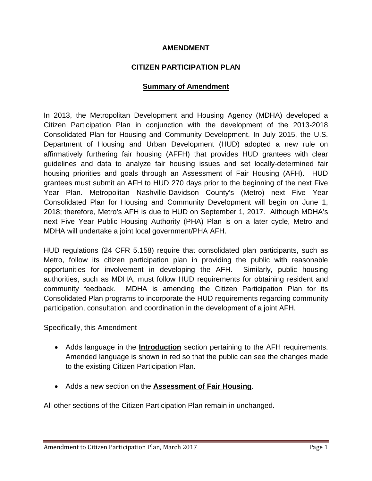#### **AMENDMENT**

#### **CITIZEN PARTICIPATION PLAN**

#### **Summary of Amendment**

In 2013, the Metropolitan Development and Housing Agency (MDHA) developed a Citizen Participation Plan in conjunction with the development of the 2013-2018 Consolidated Plan for Housing and Community Development. In July 2015, the U.S. Department of Housing and Urban Development (HUD) adopted a new rule on affirmatively furthering fair housing (AFFH) that provides HUD grantees with clear guidelines and data to analyze fair housing issues and set locally-determined fair housing priorities and goals through an Assessment of Fair Housing (AFH). HUD grantees must submit an AFH to HUD 270 days prior to the beginning of the next Five Year Plan. Metropolitan Nashville-Davidson County's (Metro) next Five Year Consolidated Plan for Housing and Community Development will begin on June 1, 2018; therefore, Metro's AFH is due to HUD on September 1, 2017. Although MDHA's next Five Year Public Housing Authority (PHA) Plan is on a later cycle, Metro and MDHA will undertake a joint local government/PHA AFH.

HUD regulations (24 CFR 5.158) require that consolidated plan participants, such as Metro, follow its citizen participation plan in providing the public with reasonable opportunities for involvement in developing the AFH. Similarly, public housing authorities, such as MDHA, must follow HUD requirements for obtaining resident and community feedback. MDHA is amending the Citizen Participation Plan for its Consolidated Plan programs to incorporate the HUD requirements regarding community participation, consultation, and coordination in the development of a joint AFH.

Specifically, this Amendment

- Adds language in the **Introduction** section pertaining to the AFH requirements. Amended language is shown in red so that the public can see the changes made to the existing Citizen Participation Plan.
- Adds a new section on the **Assessment of Fair Housing**.

All other sections of the Citizen Participation Plan remain in unchanged.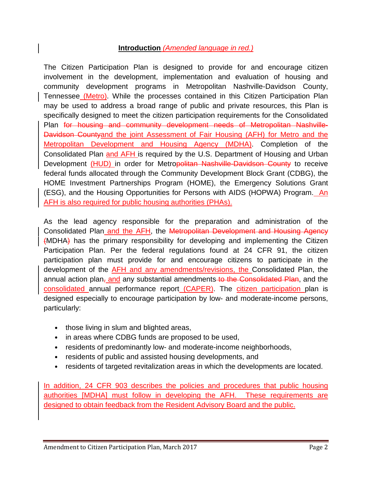### **Introduction** *(Amended language in red.)*

The Citizen Participation Plan is designed to provide for and encourage citizen involvement in the development, implementation and evaluation of housing and community development programs in Metropolitan Nashville-Davidson County, Tennessee (Metro). While the processes contained in this Citizen Participation Plan may be used to address a broad range of public and private resources, this Plan is specifically designed to meet the citizen participation requirements for the Consolidated Plan for housing and community development needs of Metropolitan Nashville-Davidson Countyand the joint Assessment of Fair Housing (AFH) for Metro and the Metropolitan Development and Housing Agency (MDHA). Completion of the Consolidated Plan and AFH is required by the U.S. Department of Housing and Urban Development (HUD) in order for Metropolitan Nashville-Davidson County to receive federal funds allocated through the Community Development Block Grant (CDBG), the HOME Investment Partnerships Program (HOME), the Emergency Solutions Grant (ESG), and the Housing Opportunities for Persons with AIDS (HOPWA) Program. An AFH is also required for public housing authorities (PHAs).

As the lead agency responsible for the preparation and administration of the Consolidated Plan and the AFH, the Metropolitan Development and Housing Agency (MDHA) has the primary responsibility for developing and implementing the Citizen Participation Plan. Per the federal regulations found at 24 CFR 91, the citizen participation plan must provide for and encourage citizens to participate in the development of the AFH and any amendments/revisions, the Consolidated Plan, the annual action plan, and any substantial amendments to the Consolidated Plan, and the consolidated annual performance report (CAPER). The citizen participation plan is designed especially to encourage participation by low- and moderate-income persons, particularly:

- those living in slum and blighted areas,
- in areas where CDBG funds are proposed to be used,
- residents of predominantly low- and moderate-income neighborhoods,
- residents of public and assisted housing developments, and
- residents of targeted revitalization areas in which the developments are located.

In addition, 24 CFR 903 describes the policies and procedures that public housing authorities [MDHA] must follow in developing the AFH. These requirements are designed to obtain feedback from the Resident Advisory Board and the public.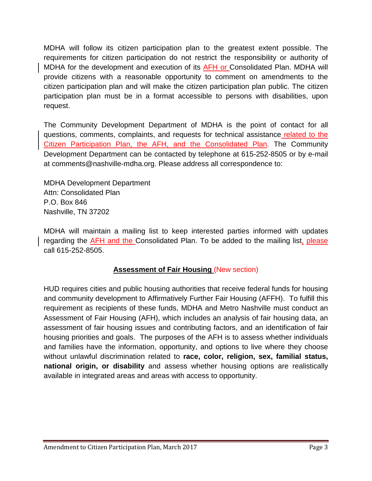MDHA will follow its citizen participation plan to the greatest extent possible. The requirements for citizen participation do not restrict the responsibility or authority of MDHA for the development and execution of its **AFH or Consolidated Plan. MDHA will** provide citizens with a reasonable opportunity to comment on amendments to the citizen participation plan and will make the citizen participation plan public. The citizen participation plan must be in a format accessible to persons with disabilities, upon request.

The Community Development Department of MDHA is the point of contact for all questions, comments, complaints, and requests for technical assistance related to the Citizen Participation Plan, the AFH, and the Consolidated Plan. The Community Development Department can be contacted by telephone at 615-252-8505 or by e-mail at comments@nashville-mdha.org. Please address all correspondence to:

MDHA Development Department Attn: Consolidated Plan P.O. Box 846 Nashville, TN 37202

MDHA will maintain a mailing list to keep interested parties informed with updates regarding the AFH and the Consolidated Plan. To be added to the mailing list, please call 615-252-8505.

# **Assessment of Fair Housing** (New section)

HUD requires cities and public housing authorities that receive federal funds for housing and community development to Affirmatively Further Fair Housing (AFFH). To fulfill this requirement as recipients of these funds, MDHA and Metro Nashville must conduct an Assessment of Fair Housing (AFH), which includes an analysis of fair housing data, an assessment of fair housing issues and contributing factors, and an identification of fair housing priorities and goals. The purposes of the AFH is to assess whether individuals and families have the information, opportunity, and options to live where they choose without unlawful discrimination related to **race, color, religion, sex, familial status, national origin, or disability** and assess whether housing options are realistically available in integrated areas and areas with access to opportunity.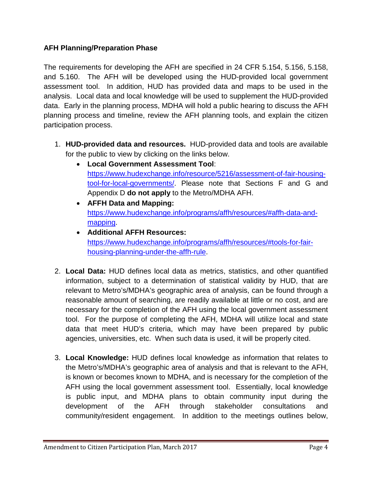### **AFH Planning/Preparation Phase**

The requirements for developing the AFH are specified in 24 CFR 5.154, 5.156, 5.158, and 5.160. The AFH will be developed using the HUD-provided local government assessment tool. In addition, HUD has provided data and maps to be used in the analysis. Local data and local knowledge will be used to supplement the HUD-provided data. Early in the planning process, MDHA will hold a public hearing to discuss the AFH planning process and timeline, review the AFH planning tools, and explain the citizen participation process.

- 1. **HUD-provided data and resources.** HUD-provided data and tools are available for the public to view by clicking on the links below.
	- **Local Government Assessment Tool**: [https://www.hudexchange.info/resource/5216/assessment-of-fair-housing](https://www.hudexchange.info/resource/5216/assessment-of-fair-housing-tool-for-local-governments/)[tool-for-local-governments/.](https://www.hudexchange.info/resource/5216/assessment-of-fair-housing-tool-for-local-governments/) Please note that Sections F and G and Appendix D **do not apply** to the Metro/MDHA AFH.
	- **AFFH Data and Mapping:** [https://www.hudexchange.info/programs/affh/resources/#affh-data-and](https://www.hudexchange.info/programs/affh/resources/#affh-data-and-mapping)[mapping.](https://www.hudexchange.info/programs/affh/resources/#affh-data-and-mapping)
	- **Additional AFFH Resources:** [https://www.hudexchange.info/programs/affh/resources/#tools-for-fair](https://www.hudexchange.info/programs/affh/resources/#tools-for-fair-housing-planning-under-the-affh-rule)[housing-planning-under-the-affh-rule.](https://www.hudexchange.info/programs/affh/resources/#tools-for-fair-housing-planning-under-the-affh-rule)
- 2. **Local Data:** HUD defines local data as metrics, statistics, and other quantified information, subject to a determination of statistical validity by HUD, that are relevant to Metro's/MDHA's geographic area of analysis, can be found through a reasonable amount of searching, are readily available at little or no cost, and are necessary for the completion of the AFH using the local government assessment tool. For the purpose of completing the AFH, MDHA will utilize local and state data that meet HUD's criteria, which may have been prepared by public agencies, universities, etc. When such data is used, it will be properly cited.
- 3. **Local Knowledge:** HUD defines local knowledge as information that relates to the Metro's/MDHA's geographic area of analysis and that is relevant to the AFH, is known or becomes known to MDHA, and is necessary for the completion of the AFH using the local government assessment tool. Essentially, local knowledge is public input, and MDHA plans to obtain community input during the development of the AFH through stakeholder consultations and community/resident engagement. In addition to the meetings outlines below,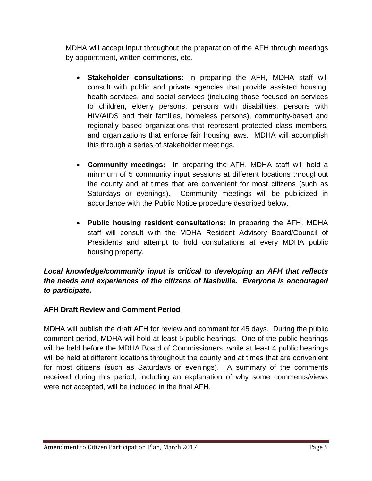MDHA will accept input throughout the preparation of the AFH through meetings by appointment, written comments, etc.

- **Stakeholder consultations:** In preparing the AFH, MDHA staff will consult with public and private agencies that provide assisted housing, health services, and social services (including those focused on services to children, elderly persons, persons with disabilities, persons with HIV/AIDS and their families, homeless persons), community-based and regionally based organizations that represent protected class members, and organizations that enforce fair housing laws. MDHA will accomplish this through a series of stakeholder meetings.
- **Community meetings:** In preparing the AFH, MDHA staff will hold a minimum of 5 community input sessions at different locations throughout the county and at times that are convenient for most citizens (such as Saturdays or evenings). Community meetings will be publicized in accordance with the Public Notice procedure described below.
- **Public housing resident consultations:** In preparing the AFH, MDHA staff will consult with the MDHA Resident Advisory Board/Council of Presidents and attempt to hold consultations at every MDHA public housing property.

# *Local knowledge/community input is critical to developing an AFH that reflects the needs and experiences of the citizens of Nashville. Everyone is encouraged to participate.*

# **AFH Draft Review and Comment Period**

MDHA will publish the draft AFH for review and comment for 45 days. During the public comment period, MDHA will hold at least 5 public hearings. One of the public hearings will be held before the MDHA Board of Commissioners, while at least 4 public hearings will be held at different locations throughout the county and at times that are convenient for most citizens (such as Saturdays or evenings). A summary of the comments received during this period, including an explanation of why some comments/views were not accepted, will be included in the final AFH.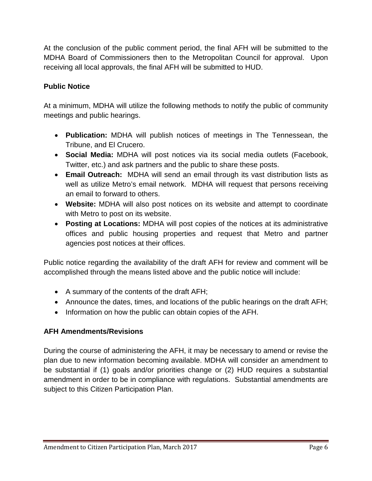At the conclusion of the public comment period, the final AFH will be submitted to the MDHA Board of Commissioners then to the Metropolitan Council for approval. Upon receiving all local approvals, the final AFH will be submitted to HUD.

# **Public Notice**

At a minimum, MDHA will utilize the following methods to notify the public of community meetings and public hearings.

- **Publication:** MDHA will publish notices of meetings in The Tennessean, the Tribune, and El Crucero.
- **Social Media:** MDHA will post notices via its social media outlets (Facebook, Twitter, etc.) and ask partners and the public to share these posts.
- **Email Outreach:** MDHA will send an email through its vast distribution lists as well as utilize Metro's email network. MDHA will request that persons receiving an email to forward to others.
- **Website:** MDHA will also post notices on its website and attempt to coordinate with Metro to post on its website.
- **Posting at Locations:** MDHA will post copies of the notices at its administrative offices and public housing properties and request that Metro and partner agencies post notices at their offices.

Public notice regarding the availability of the draft AFH for review and comment will be accomplished through the means listed above and the public notice will include:

- A summary of the contents of the draft AFH;
- Announce the dates, times, and locations of the public hearings on the draft AFH;
- Information on how the public can obtain copies of the AFH.

### **AFH Amendments/Revisions**

During the course of administering the AFH, it may be necessary to amend or revise the plan due to new information becoming available. MDHA will consider an amendment to be substantial if (1) goals and/or priorities change or (2) HUD requires a substantial amendment in order to be in compliance with regulations. Substantial amendments are subject to this Citizen Participation Plan.